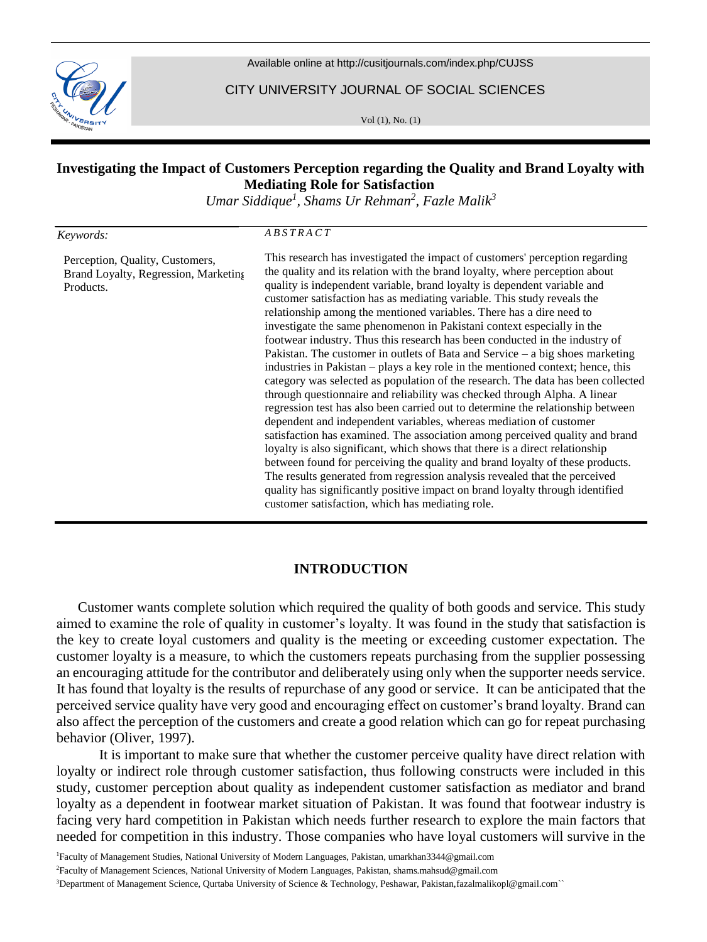

Available online at <http://cusitjournals.com/index.php/CUJSS>

CITY UNIVERSITY JOURNAL OF SOCIAL SCIENCES

Vol (1), No. (1)

# **Investigating the Impact of Customers Perception regarding the Quality and Brand Loyalty with Mediating Role for Satisfaction**

*Umar Siddique<sup>1</sup> , Shams Ur Rehman<sup>2</sup> , Fazle Malik<sup>3</sup>*

#### *Keywords:*

Products.

Perception, Quality, Customers, Brand Loyalty, Regression, Marketing *A B S T R A C T*

This research has investigated the impact of customers' perception regarding the quality and its relation with the brand loyalty, where perception about quality is independent variable, brand loyalty is dependent variable and customer satisfaction has as mediating variable. This study reveals the relationship among the mentioned variables. There has a dire need to investigate the same phenomenon in Pakistani context especially in the footwear industry. Thus this research has been conducted in the industry of Pakistan. The customer in outlets of Bata and Service – a big shoes marketing industries in Pakistan – plays a key role in the mentioned context; hence, this category was selected as population of the research. The data has been collected through questionnaire and reliability was checked through Alpha. A linear regression test has also been carried out to determine the relationship between dependent and independent variables, whereas mediation of customer satisfaction has examined. The association among perceived quality and brand loyalty is also significant, which shows that there is a direct relationship between found for perceiving the quality and brand loyalty of these products. The results generated from regression analysis revealed that the perceived quality has significantly positive impact on brand loyalty through identified customer satisfaction, which has mediating role.

## **INTRODUCTION**

Customer wants complete solution which required the quality of both goods and service. This study aimed to examine the role of quality in customer's loyalty. It was found in the study that satisfaction is the key to create loyal customers and quality is the meeting or exceeding customer expectation. The customer loyalty is a measure, to which the customers repeats purchasing from the supplier possessing an encouraging attitude for the contributor and deliberately using only when the supporter needs service. It has found that loyalty is the results of repurchase of any good or service. It can be anticipated that the perceived service quality have very good and encouraging effect on customer's brand loyalty. Brand can also affect the perception of the customers and create a good relation which can go for repeat purchasing behavior (Oliver, 1997).

It is important to make sure that whether the customer perceive quality have direct relation with loyalty or indirect role through customer satisfaction, thus following constructs were included in this study, customer perception about quality as independent customer satisfaction as mediator and brand loyalty as a dependent in footwear market situation of Pakistan. It was found that footwear industry is facing very hard competition in Pakistan which needs further research to explore the main factors that needed for competition in this industry. Those companies who have loyal customers will survive in the

<sup>1</sup>Faculty of Management Studies, National University of Modern Languages, Pakistan, umarkhan3344@gmail.com

<sup>2</sup>Faculty of Management Sciences, National University of Modern Languages, Pakistan, shams.mahsud@gmail.com

<sup>3</sup>Department of Management Science, Qurtaba University of Science & Technology, Peshawar, Pakistan,fazalmalikopl@gmail.com``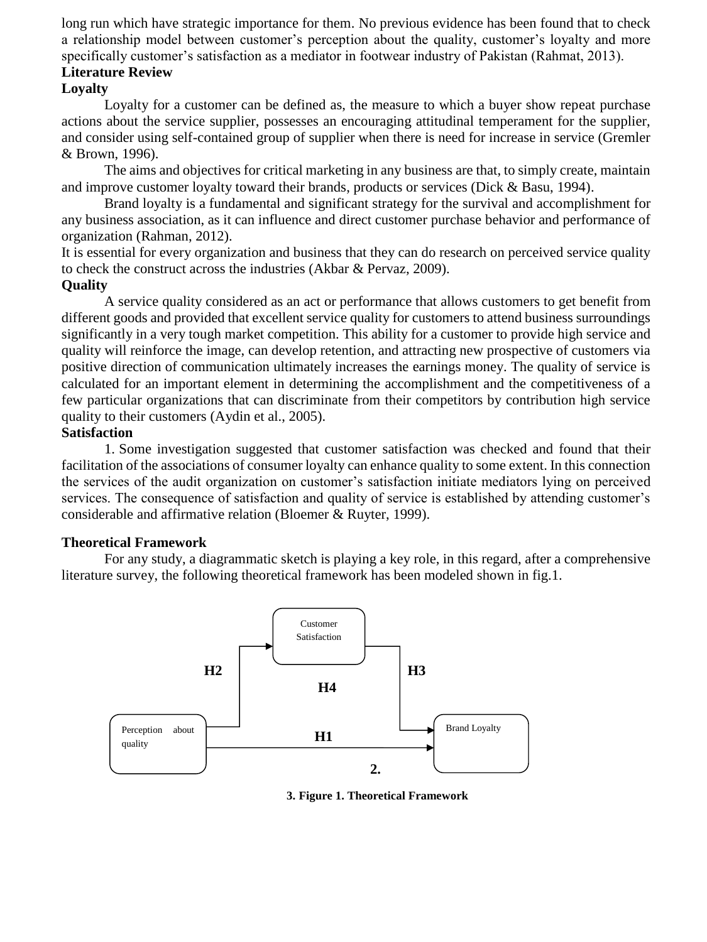long run which have strategic importance for them. No previous evidence has been found that to check a relationship model between customer's perception about the quality, customer's loyalty and more specifically customer's satisfaction as a mediator in footwear industry of Pakistan (Rahmat, 2013).

# **Literature Review**

# **Loyalty**

Loyalty for a customer can be defined as, the measure to which a buyer show repeat purchase actions about the service supplier, possesses an encouraging attitudinal temperament for the supplier, and consider using self-contained group of supplier when there is need for increase in service (Gremler & Brown, 1996).

The aims and objectives for critical marketing in any business are that, to simply create, maintain and improve customer loyalty toward their brands, products or services (Dick & Basu, 1994).

Brand loyalty is a fundamental and significant strategy for the survival and accomplishment for any business association, as it can influence and direct customer purchase behavior and performance of organization (Rahman, 2012).

It is essential for every organization and business that they can do research on perceived service quality to check the construct across the industries (Akbar & Pervaz, 2009).

# **Quality**

A service quality considered as an act or performance that allows customers to get benefit from different goods and provided that excellent service quality for customers to attend business surroundings significantly in a very tough market competition. This ability for a customer to provide high service and quality will reinforce the image, can develop retention, and attracting new prospective of customers via positive direction of communication ultimately increases the earnings money. The quality of service is calculated for an important element in determining the accomplishment and the competitiveness of a few particular organizations that can discriminate from their competitors by contribution high service quality to their customers (Aydin et al., 2005).

# **Satisfaction**

1. Some investigation suggested that customer satisfaction was checked and found that their facilitation of the associations of consumer loyalty can enhance quality to some extent. In this connection the services of the audit organization on customer's satisfaction initiate mediators lying on perceived services. The consequence of satisfaction and quality of service is established by attending customer's considerable and affirmative relation (Bloemer & Ruyter, 1999).

## **Theoretical Framework**

For any study, a diagrammatic sketch is playing a key role, in this regard, after a comprehensive literature survey, the following theoretical framework has been modeled shown in fig.1.



**3. Figure 1. Theoretical Framework**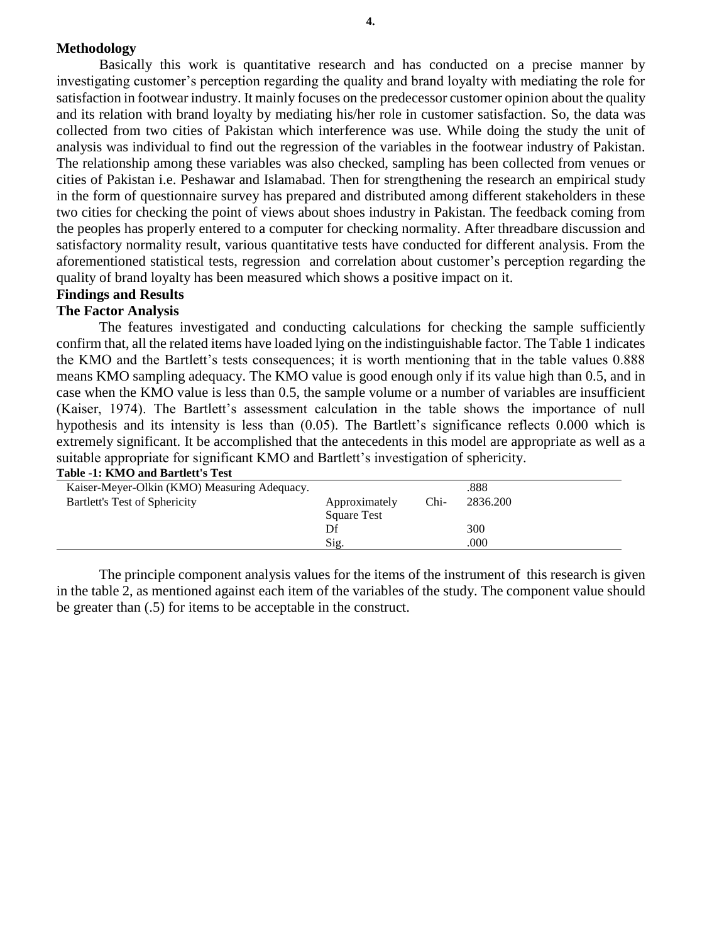#### **Methodology**

Basically this work is quantitative research and has conducted on a precise manner by investigating customer's perception regarding the quality and brand loyalty with mediating the role for satisfaction in footwear industry. It mainly focuses on the predecessor customer opinion about the quality and its relation with brand loyalty by mediating his/her role in customer satisfaction*.* So, the data was collected from two cities of Pakistan which interference was use. While doing the study the unit of analysis was individual to find out the regression of the variables in the footwear industry of Pakistan*.* The relationship among these variables was also checked, sampling has been collected from venues or cities of Pakistan i.e. Peshawar and Islamabad. Then for strengthening the research an empirical study in the form of questionnaire survey has prepared and distributed among different stakeholders in these two cities for checking the point of views about shoes industry in Pakistan. The feedback coming from the peoples has properly entered to a computer for checking normality. After threadbare discussion and satisfactory normality result, various quantitative tests have conducted for different analysis. From the aforementioned statistical tests, regression and correlation about customer's perception regarding the quality of brand loyalty has been measured which shows a positive impact on it.

# **Findings and Results**

#### **The Factor Analysis**

The features investigated and conducting calculations for checking the sample sufficiently confirm that, all the related items have loaded lying on the indistinguishable factor. The Table 1 indicates the KMO and the Bartlett's tests consequences; it is worth mentioning that in the table values 0.888 means KMO sampling adequacy. The KMO value is good enough only if its value high than 0.5, and in case when the KMO value is less than 0.5, the sample volume or a number of variables are insufficient (Kaiser, 1974). The Bartlett's assessment calculation in the table shows the importance of null hypothesis and its intensity is less than (0.05). The Bartlett's significance reflects 0.000 which is extremely significant. It be accomplished that the antecedents in this model are appropriate as well as a suitable appropriate for significant KMO and Bartlett's investigation of sphericity. **Table -1: KMO and Bartlett's Test**

| Table -1, Islato and Dafuell 3 Test          |                    |      |          |
|----------------------------------------------|--------------------|------|----------|
| Kaiser-Meyer-Olkin (KMO) Measuring Adequacy. |                    |      | .888     |
| Bartlett's Test of Sphericity                | Approximately      | Chi- | 2836.200 |
|                                              | <b>Square Test</b> |      |          |
|                                              | Df                 |      | 300      |
|                                              | Sig.               |      | .000     |

The principle component analysis values for the items of the instrument of this research is given in the table 2, as mentioned against each item of the variables of the study. The component value should be greater than (.5) for items to be acceptable in the construct.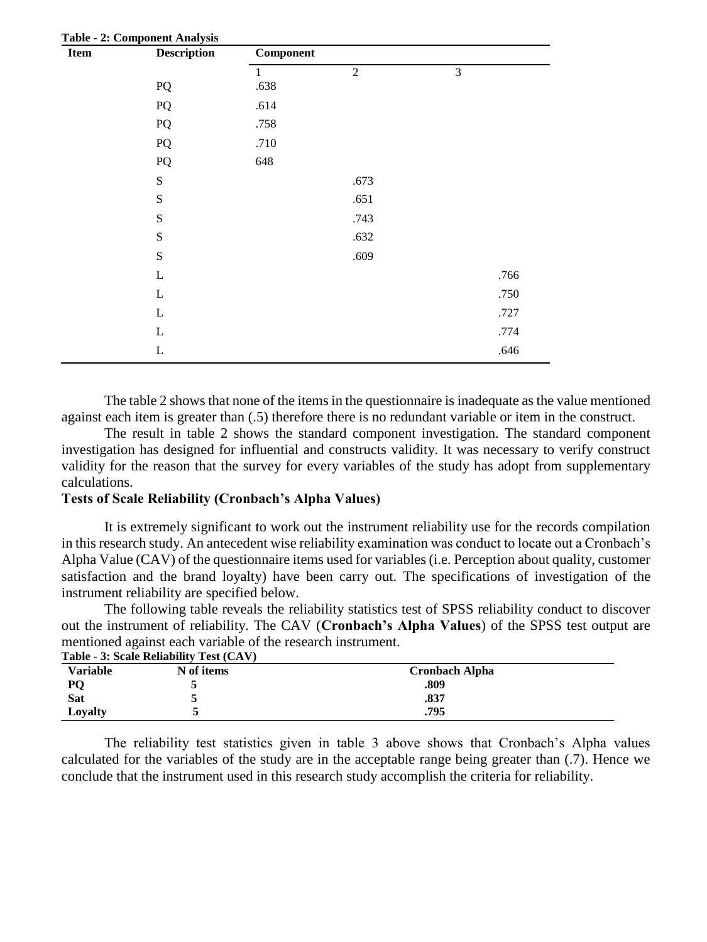| Item | <b>Description</b> | <b>Table - 2: Component Analysis</b><br><b>Component</b> |                |                |  |  |
|------|--------------------|----------------------------------------------------------|----------------|----------------|--|--|
|      |                    | $\mathbf{1}$                                             | $\overline{2}$ | $\mathfrak{Z}$ |  |  |
|      | PQ                 | .638                                                     |                |                |  |  |
|      | ${\bf P}{\bf Q}$   | .614                                                     |                |                |  |  |
|      | ${\bf P}{\bf Q}$   | .758                                                     |                |                |  |  |
|      | PQ                 | .710                                                     |                |                |  |  |
|      | ${\bf P}{\bf Q}$   | 648                                                      |                |                |  |  |
|      | ${\bf S}$          |                                                          | .673           |                |  |  |
|      | ${\bf S}$          |                                                          | .651           |                |  |  |
|      | ${\bf S}$          |                                                          | .743           |                |  |  |
|      | ${\bf S}$          |                                                          | .632           |                |  |  |
|      | ${\bf S}$          |                                                          | .609           |                |  |  |
|      | $\mathbf L$        |                                                          |                | .766           |  |  |
|      | $\mathbf L$        |                                                          |                | .750           |  |  |
|      | $\mathbf L$        |                                                          |                | .727           |  |  |
|      | L                  |                                                          |                | .774           |  |  |
|      | $\mathbf L$        |                                                          |                | .646           |  |  |

The table 2 shows that none of the items in the questionnaire is inadequate as the value mentioned against each item is greater than (.5) therefore there is no redundant variable or item in the construct.

The result in table 2 shows the standard component investigation. The standard component investigation has designed for influential and constructs validity. It was necessary to verify construct validity for the reason that the survey for every variables of the study has adopt from supplementary calculations.

#### **Tests of Scale Reliability (Cronbach's Alpha Values)**

It is extremely significant to work out the instrument reliability use for the records compilation in this research study. An antecedent wise reliability examination was conduct to locate out a Cronbach's Alpha Value (CAV) of the questionnaire items used for variables (i.e. Perception about quality, customer satisfaction and the brand loyalty) have been carry out. The specifications of investigation of the instrument reliability are specified below.

The following table reveals the reliability statistics test of SPSS reliability conduct to discover out the instrument of reliability. The CAV (**Cronbach's Alpha Values**) of the SPSS test output are mentioned against each variable of the research instrument. **Table - 3: Scale Reliability Test (CAV)**

|          | Table - 5. Scale Rehability Test (CAV) |                       |  |
|----------|----------------------------------------|-----------------------|--|
| Variable | N of items                             | <b>Cronbach Alpha</b> |  |
| PQ       |                                        | .809                  |  |
| Sat      |                                        | .837                  |  |
| Lovalty  |                                        | .795                  |  |

The reliability test statistics given in table 3 above shows that Cronbach's Alpha values calculated for the variables of the study are in the acceptable range being greater than (.7). Hence we conclude that the instrument used in this research study accomplish the criteria for reliability.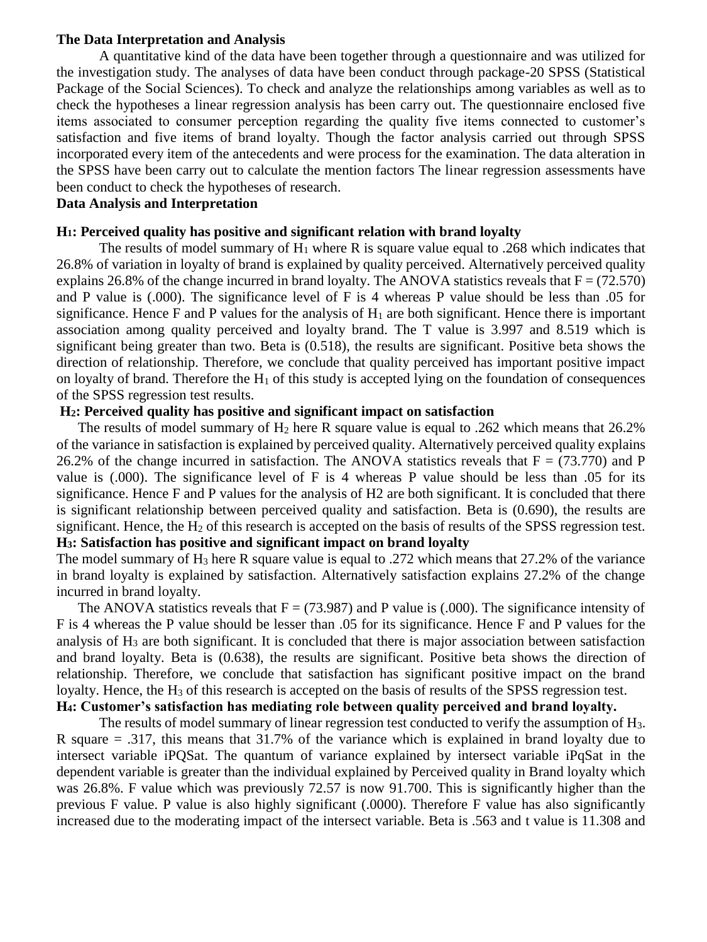### **The Data Interpretation and Analysis**

A quantitative kind of the data have been together through a questionnaire and was utilized for the investigation study. The analyses of data have been conduct through package-20 SPSS (Statistical Package of the Social Sciences). To check and analyze the relationships among variables as well as to check the hypotheses a linear regression analysis has been carry out. The questionnaire enclosed five items associated to consumer perception regarding the quality five items connected to customer's satisfaction and five items of brand loyalty. Though the factor analysis carried out through SPSS incorporated every item of the antecedents and were process for the examination. The data alteration in the SPSS have been carry out to calculate the mention factors The linear regression assessments have been conduct to check the hypotheses of research.

#### **Data Analysis and Interpretation**

#### **H1: Perceived quality has positive and significant relation with brand loyalty**

The results of model summary of  $H_1$  where R is square value equal to .268 which indicates that 26.8% of variation in loyalty of brand is explained by quality perceived. Alternatively perceived quality explains 26.8% of the change incurred in brand loyalty. The ANOVA statistics reveals that  $F = (72.570)$ and P value is (.000). The significance level of F is 4 whereas P value should be less than .05 for significance. Hence F and P values for the analysis of  $H_1$  are both significant. Hence there is important association among quality perceived and loyalty brand. The T value is 3.997 and 8.519 which is significant being greater than two. Beta is (0.518), the results are significant. Positive beta shows the direction of relationship. Therefore, we conclude that quality perceived has important positive impact on loyalty of brand. Therefore the  $H_1$  of this study is accepted lying on the foundation of consequences of the SPSS regression test results.

#### **H2: Perceived quality has positive and significant impact on satisfaction**

The results of model summary of  $H_2$  here R square value is equal to .262 which means that 26.2% of the variance in satisfaction is explained by perceived quality. Alternatively perceived quality explains 26.2% of the change incurred in satisfaction. The ANOVA statistics reveals that  $F = (73.770)$  and P value is (.000). The significance level of F is 4 whereas P value should be less than .05 for its significance. Hence F and P values for the analysis of H2 are both significant. It is concluded that there is significant relationship between perceived quality and satisfaction. Beta is (0.690), the results are significant. Hence, the  $H_2$  of this research is accepted on the basis of results of the SPSS regression test. **H3: Satisfaction has positive and significant impact on brand loyalty**

The model summary of  $H_3$  here R square value is equal to .272 which means that 27.2% of the variance in brand loyalty is explained by satisfaction. Alternatively satisfaction explains 27.2% of the change incurred in brand loyalty.

The ANOVA statistics reveals that  $F = (73.987)$  and P value is (.000). The significance intensity of F is 4 whereas the P value should be lesser than .05 for its significance. Hence F and P values for the analysis of H<sup>3</sup> are both significant. It is concluded that there is major association between satisfaction and brand loyalty. Beta is (0.638), the results are significant. Positive beta shows the direction of relationship. Therefore, we conclude that satisfaction has significant positive impact on the brand loyalty. Hence, the  $H_3$  of this research is accepted on the basis of results of the SPSS regression test. **H4: Customer's satisfaction has mediating role between quality perceived and brand loyalty.**

# The results of model summary of linear regression test conducted to verify the assumption of H3.

R square = .317, this means that 31.7% of the variance which is explained in brand loyalty due to intersect variable iPQSat. The quantum of variance explained by intersect variable iPqSat in the dependent variable is greater than the individual explained by Perceived quality in Brand loyalty which was 26.8%. F value which was previously 72.57 is now 91.700. This is significantly higher than the previous F value. P value is also highly significant (.0000). Therefore F value has also significantly increased due to the moderating impact of the intersect variable. Beta is .563 and t value is 11.308 and